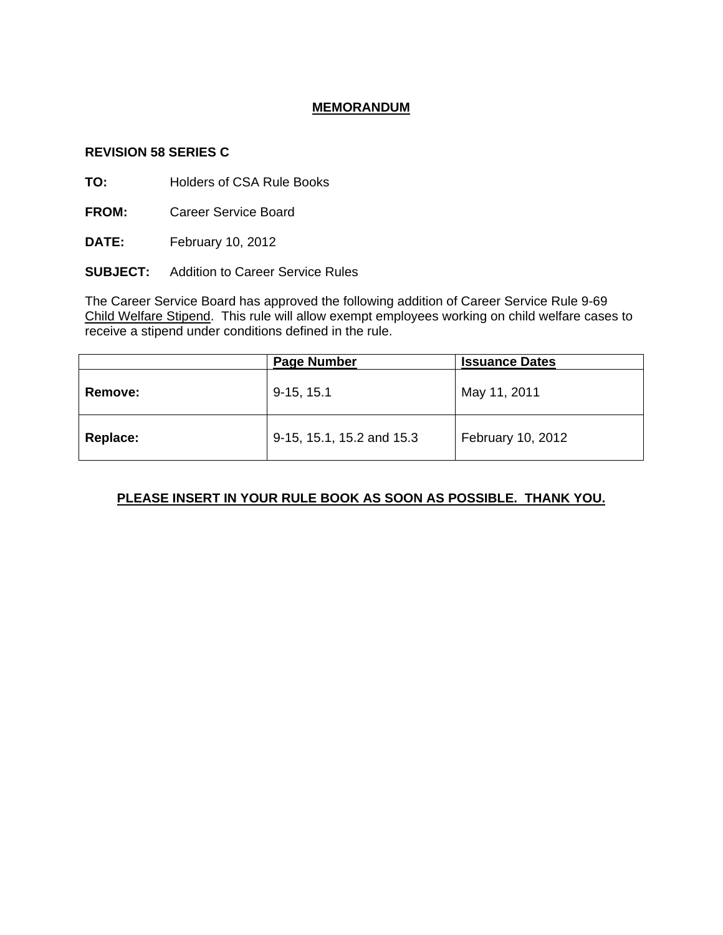## **MEMORANDUM**

#### **REVISION 58 SERIES C**

**TO:** Holders of CSA Rule Books

**FROM:** Career Service Board

**DATE:** February 10, 2012

**SUBJECT:** Addition to Career Service Rules

The Career Service Board has approved the following addition of Career Service Rule 9-69 Child Welfare Stipend. This rule will allow exempt employees working on child welfare cases to **EXECUTE 2018** THE TWO CONDITIONS TO CONDITE A STREET THE RECEIVE A STREET THAT THE RECEIVED ASSEMBLY.

|                | <b>Page Number</b>        | <b>Issuance Dates</b> |
|----------------|---------------------------|-----------------------|
| <b>Remove:</b> | $9-15, 15.1$              | May 11, 2011          |
| Replace:       | 9-15, 15.1, 15.2 and 15.3 | February 10, 2012     |

# **PLEASE INSERT IN YOUR RULE BOOK AS SOON AS POSSIBLE. THANK YOU.**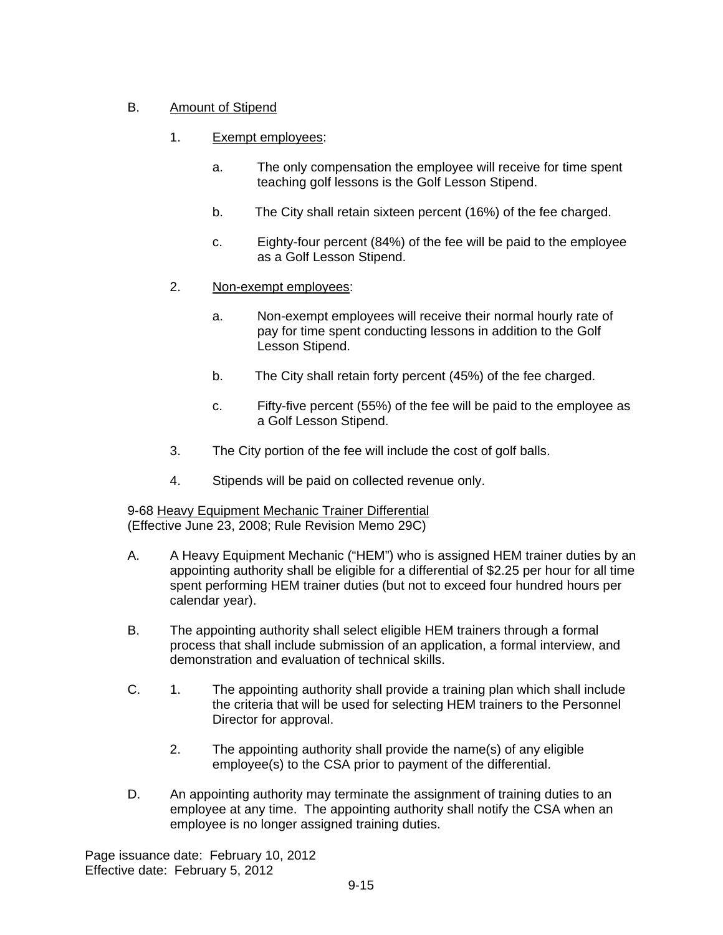# B. Amount of Stipend

- 1. Exempt employees:
	- a. The only compensation the employee will receive for time spent teaching golf lessons is the Golf Lesson Stipend.
	- b. The City shall retain sixteen percent (16%) of the fee charged.
	- c. Eighty-four percent (84%) of the fee will be paid to the employee as a Golf Lesson Stipend.
- 2. Non-exempt employees:
	- a. Non-exempt employees will receive their normal hourly rate of pay for time spent conducting lessons in addition to the Golf Lesson Stipend.
	- b. The City shall retain forty percent (45%) of the fee charged.
	- c. Fifty-five percent (55%) of the fee will be paid to the employee as a Golf Lesson Stipend.
- 3. The City portion of the fee will include the cost of golf balls.
- 4. Stipends will be paid on collected revenue only.

9-68 Heavy Equipment Mechanic Trainer Differential (Effective June 23, 2008; Rule Revision Memo 29C)

- A. A Heavy Equipment Mechanic ("HEM") who is assigned HEM trainer duties by an appointing authority shall be eligible for a differential of \$2.25 per hour for all time spent performing HEM trainer duties (but not to exceed four hundred hours per calendar year).
- B. The appointing authority shall select eligible HEM trainers through a formal process that shall include submission of an application, a formal interview, and demonstration and evaluation of technical skills.
- C. 1. The appointing authority shall provide a training plan which shall include the criteria that will be used for selecting HEM trainers to the Personnel Director for approval.
	- 2. The appointing authority shall provide the name(s) of any eligible employee(s) to the CSA prior to payment of the differential.
- D. An appointing authority may terminate the assignment of training duties to an employee at any time. The appointing authority shall notify the CSA when an employee is no longer assigned training duties.

Page issuance date: February 10, 2012 Effective date: February 5, 2012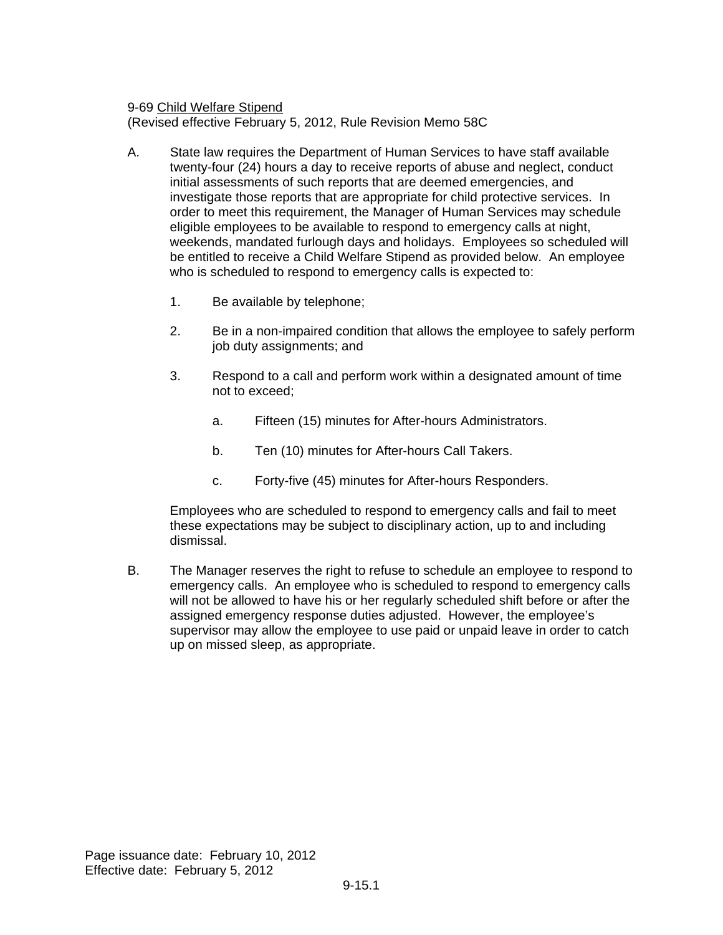9-69 Child Welfare Stipend

(Revised effective February 5, 2012, Rule Revision Memo 58C

- A. State law requires the Department of Human Services to have staff available twenty-four (24) hours a day to receive reports of abuse and neglect, conduct initial assessments of such reports that are deemed emergencies, and investigate those reports that are appropriate for child protective services. In order to meet this requirement, the Manager of Human Services may schedule eligible employees to be available to respond to emergency calls at night, weekends, mandated furlough days and holidays. Employees so scheduled will be entitled to receive a Child Welfare Stipend as provided below. An employee who is scheduled to respond to emergency calls is expected to:
	- 1. Be available by telephone;
	- 2. Be in a non-impaired condition that allows the employee to safely perform job duty assignments; and
	- 3. Respond to a call and perform work within a designated amount of time not to exceed;
		- a. Fifteen (15) minutes for After-hours Administrators.
		- b. Ten (10) minutes for After-hours Call Takers.
		- c. Forty-five (45) minutes for After-hours Responders.

Employees who are scheduled to respond to emergency calls and fail to meet these expectations may be subject to disciplinary action, up to and including dismissal.

B. The Manager reserves the right to refuse to schedule an employee to respond to emergency calls. An employee who is scheduled to respond to emergency calls will not be allowed to have his or her regularly scheduled shift before or after the assigned emergency response duties adjusted. However, the employee's supervisor may allow the employee to use paid or unpaid leave in order to catch up on missed sleep, as appropriate.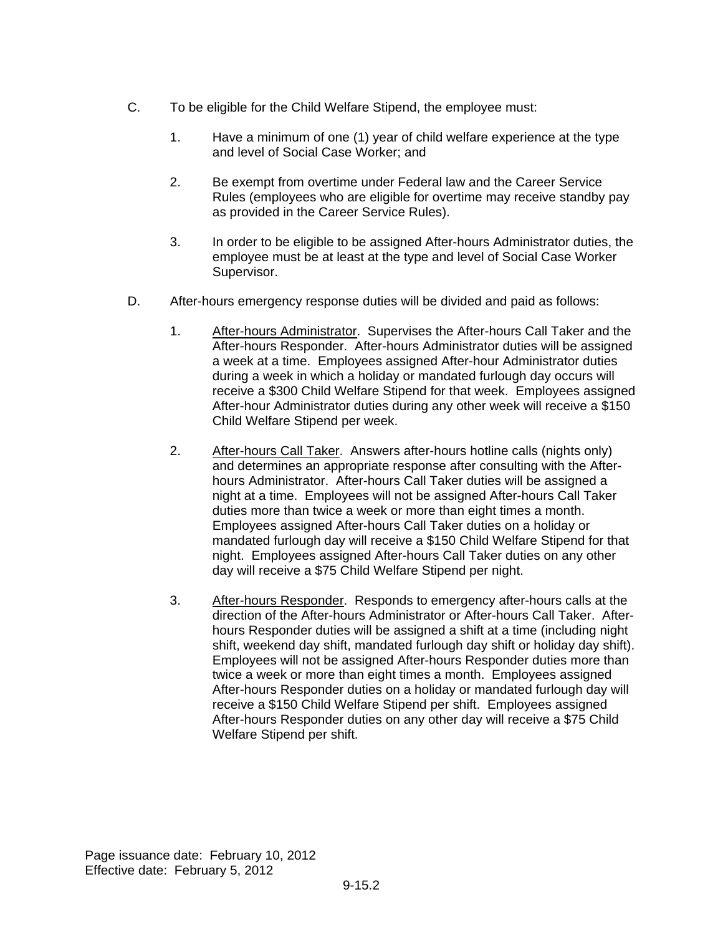- C. To be eligible for the Child Welfare Stipend, the employee must:
	- 1. Have a minimum of one (1) year of child welfare experience at the type and level of Social Case Worker; and
	- 2. Be exempt from overtime under Federal law and the Career Service Rules (employees who are eligible for overtime may receive standby pay as provided in the Career Service Rules).
	- 3. In order to be eligible to be assigned After-hours Administrator duties, the employee must be at least at the type and level of Social Case Worker Supervisor.
- D. After-hours emergency response duties will be divided and paid as follows:
	- 1. After-hours Administrator. Supervises the After-hours Call Taker and the After-hours Responder. After-hours Administrator duties will be assigned a week at a time. Employees assigned After-hour Administrator duties during a week in which a holiday or mandated furlough day occurs will receive a \$300 Child Welfare Stipend for that week. Employees assigned After-hour Administrator duties during any other week will receive a \$150 Child Welfare Stipend per week.
	- 2. After-hours Call Taker. Answers after-hours hotline calls (nights only) and determines an appropriate response after consulting with the Afterhours Administrator. After-hours Call Taker duties will be assigned a night at a time. Employees will not be assigned After-hours Call Taker duties more than twice a week or more than eight times a month. Employees assigned After-hours Call Taker duties on a holiday or mandated furlough day will receive a \$150 Child Welfare Stipend for that night. Employees assigned After-hours Call Taker duties on any other day will receive a \$75 Child Welfare Stipend per night.
	- 3. After-hours Responder. Responds to emergency after-hours calls at the direction of the After-hours Administrator or After-hours Call Taker. Afterhours Responder duties will be assigned a shift at a time (including night shift, weekend day shift, mandated furlough day shift or holiday day shift). Employees will not be assigned After-hours Responder duties more than twice a week or more than eight times a month. Employees assigned After-hours Responder duties on a holiday or mandated furlough day will receive a \$150 Child Welfare Stipend per shift. Employees assigned After-hours Responder duties on any other day will receive a \$75 Child Welfare Stipend per shift.